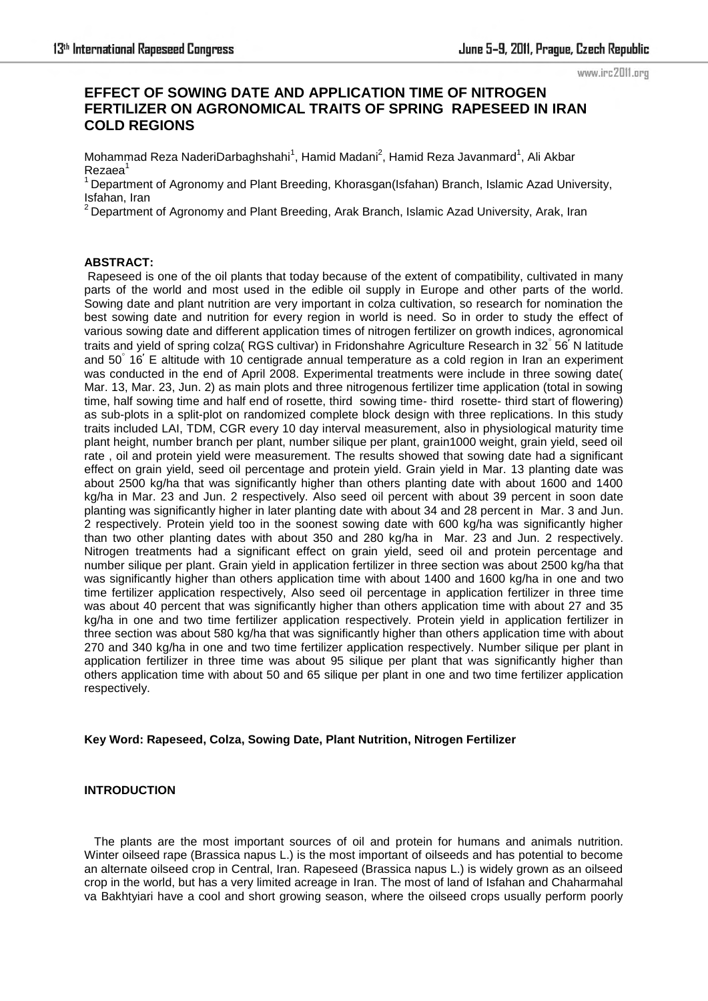www.irc2011.org

# **EFFECT OF SOWING DATE AND APPLICATION TIME OF NITROGEN FERTILIZER ON AGRONOMICAL TRAITS OF SPRING RAPESEED IN IRAN COLD REGIONS**

Mohammad Reza NaderiDarbaghshahi<sup>1</sup>, Hamid Madani<sup>2</sup>, Hamid Reza Javanmard<sup>1</sup>, Ali Akbar  $Rezaea<sup>1</sup>$ 

 $1$ Department of Agronomy and Plant Breeding, Khorasgan(Isfahan) Branch, Islamic Azad University, Isfahan, Iran

 $^2$ Department of Agronomy and Plant Breeding, Arak Branch, Islamic Azad University, Arak, Iran

#### **ABSTRACT:**

 Rapeseed is one of the oil plants that today because of the extent of compatibility, cultivated in many parts of the world and most used in the edible oil supply in Europe and other parts of the world. Sowing date and plant nutrition are very important in colza cultivation, so research for nomination the best sowing date and nutrition for every region in world is need. So in order to study the effect of various sowing date and different application times of nitrogen fertilizer on growth indices, agronomical traits and yield of spring colza( RGS cultivar) in Fridonshahre Agriculture Research in 32° 56' N latitude and 50 16 E altitude with 10 centigrade annual temperature as a cold region in Iran an experiment was conducted in the end of April 2008. Experimental treatments were include in three sowing date( Mar. 13, Mar. 23, Jun. 2) as main plots and three nitrogenous fertilizer time application (total in sowing time, half sowing time and half end of rosette, third sowing time- third rosette- third start of flowering) as sub-plots in a split-plot on randomized complete block design with three replications. In this study traits included LAI, TDM, CGR every 10 day interval measurement, also in physiological maturity time plant height, number branch per plant, number silique per plant, grain1000 weight, grain yield, seed oil rate , oil and protein yield were measurement. The results showed that sowing date had a significant effect on grain yield, seed oil percentage and protein yield. Grain yield in Mar. 13 planting date was about 2500 kg/ha that was significantly higher than others planting date with about 1600 and 1400 kg/ha in Mar. 23 and Jun. 2 respectively. Also seed oil percent with about 39 percent in soon date planting was significantly higher in later planting date with about 34 and 28 percent in Mar. 3 and Jun. 2 respectively. Protein yield too in the soonest sowing date with 600 kg/ha was significantly higher than two other planting dates with about 350 and 280 kg/ha in Mar. 23 and Jun. 2 respectively. Nitrogen treatments had a significant effect on grain yield, seed oil and protein percentage and number silique per plant. Grain yield in application fertilizer in three section was about 2500 kg/ha that was significantly higher than others application time with about 1400 and 1600 kg/ha in one and two time fertilizer application respectively, Also seed oil percentage in application fertilizer in three time was about 40 percent that was significantly higher than others application time with about 27 and 35 kg/ha in one and two time fertilizer application respectively. Protein yield in application fertilizer in three section was about 580 kg/ha that was significantly higher than others application time with about 270 and 340 kg/ha in one and two time fertilizer application respectively. Number silique per plant in application fertilizer in three time was about 95 silique per plant that was significantly higher than others application time with about 50 and 65 silique per plant in one and two time fertilizer application respectively.

#### **Key Word: Rapeseed, Colza, Sowing Date, Plant Nutrition, Nitrogen Fertilizer**

#### **INTRODUCTION**

 The plants are the most important sources of oil and protein for humans and animals nutrition. Winter oilseed rape (Brassica napus L.) is the most important of oilseeds and has potential to become an alternate oilseed crop in Central, Iran. Rapeseed (Brassica napus L.) is widely grown as an oilseed crop in the world, but has a very limited acreage in Iran. The most of land of Isfahan and Chaharmahal va Bakhtyiari have a cool and short growing season, where the oilseed crops usually perform poorly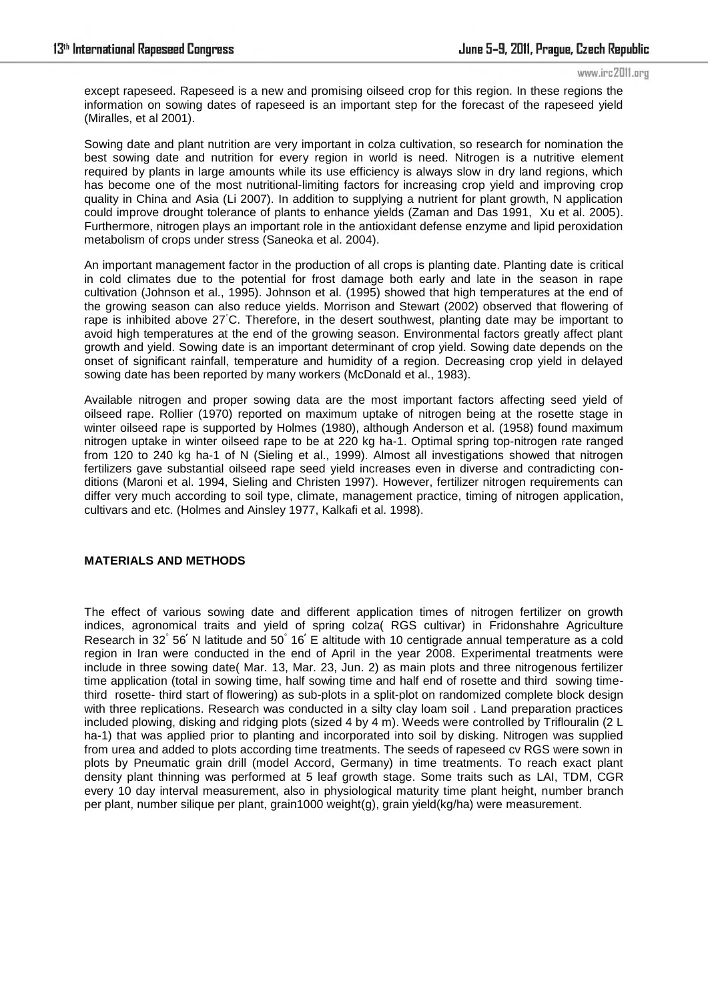#### www.irc2011.org

except rapeseed. Rapeseed is a new and promising oilseed crop for this region. In these regions the information on sowing dates of rapeseed is an important step for the forecast of the rapeseed yield (Miralles, et al 2001).

Sowing date and plant nutrition are very important in colza cultivation, so research for nomination the best sowing date and nutrition for every region in world is need. Nitrogen is a nutritive element required by plants in large amounts while its use efficiency is always slow in dry land regions, which has become one of the most nutritional-limiting factors for increasing crop yield and improving crop quality in China and Asia (Li 2007). In addition to supplying a nutrient for plant growth, N application could improve drought tolerance of plants to enhance yields (Zaman and Das 1991, Xu et al. 2005). Furthermore, nitrogen plays an important role in the antioxidant defense enzyme and lipid peroxidation metabolism of crops under stress (Saneoka et al. 2004).

An important management factor in the production of all crops is planting date. Planting date is critical in cold climates due to the potential for frost damage both early and late in the season in rape cultivation (Johnson et al., 1995). Johnson et al. (1995) showed that high temperatures at the end of the growing season can also reduce yields. Morrison and Stewart (2002) observed that flowering of rape is inhibited above 27◦C. Therefore, in the desert southwest, planting date may be important to avoid high temperatures at the end of the growing season. Environmental factors greatly affect plant growth and yield. Sowing date is an important determinant of crop yield. Sowing date depends on the onset of significant rainfall, temperature and humidity of a region. Decreasing crop yield in delayed sowing date has been reported by many workers (McDonald et al., 1983).

Available nitrogen and proper sowing data are the most important factors affecting seed yield of oilseed rape. Rollier (1970) reported on maximum uptake of nitrogen being at the rosette stage in winter oilseed rape is supported by Holmes (1980), although Anderson et al. (1958) found maximum nitrogen uptake in winter oilseed rape to be at 220 kg ha-1. Optimal spring top-nitrogen rate ranged from 120 to 240 kg ha-1 of N (Sieling et al., 1999). Almost all investigations showed that nitrogen fertilizers gave substantial oilseed rape seed yield increases even in diverse and contradicting conditions (Maroni et al. 1994, Sieling and Christen 1997). However, fertilizer nitrogen requirements can differ very much according to soil type, climate, management practice, timing of nitrogen application, cultivars and etc. (Holmes and Ainsley 1977, Kalkafi et al. 1998).

# **MATERIALS AND METHODS**

The effect of various sowing date and different application times of nitrogen fertilizer on growth indices, agronomical traits and yield of spring colza( RGS cultivar) in Fridonshahre Agriculture Research in 32° 56' N latitude and 50° 16' E altitude with 10 centigrade annual temperature as a cold region in Iran were conducted in the end of April in the year 2008. Experimental treatments were include in three sowing date( Mar. 13, Mar. 23, Jun. 2) as main plots and three nitrogenous fertilizer time application (total in sowing time, half sowing time and half end of rosette and third sowing timethird rosette- third start of flowering) as sub-plots in a split-plot on randomized complete block design with three replications. Research was conducted in a silty clay loam soil . Land preparation practices included plowing, disking and ridging plots (sized 4 by 4 m). Weeds were controlled by Triflouralin (2 L ha-1) that was applied prior to planting and incorporated into soil by disking. Nitrogen was supplied from urea and added to plots according time treatments. The seeds of rapeseed cv RGS were sown in plots by Pneumatic grain drill (model Accord, Germany) in time treatments. To reach exact plant density plant thinning was performed at 5 leaf growth stage. Some traits such as LAI, TDM, CGR every 10 day interval measurement, also in physiological maturity time plant height, number branch per plant, number silique per plant, grain1000 weight(g), grain yield(kg/ha) were measurement.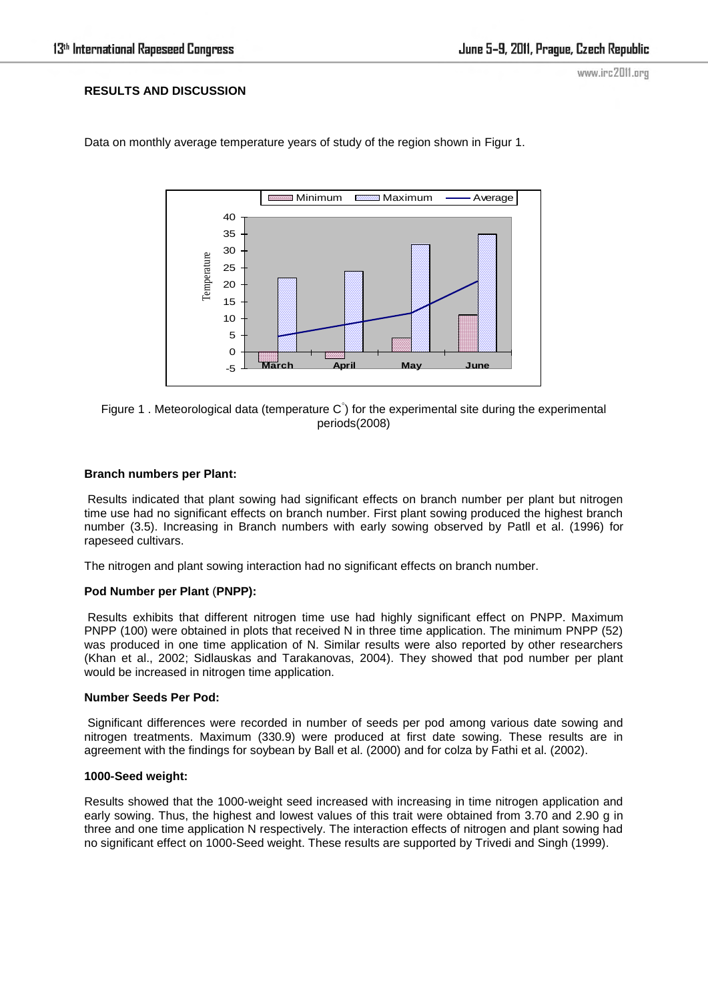# **RESULTS AND DISCUSSION**

www.irc2011.org



Data on monthly average temperature years of study of the region shown in [Figur 1.](file:///C:/Documents%20and%20Settings/alena.nakladalova/Local%20Settings/Temporary%20Internet%20Files/ŮľŘŻŘ±/ŮŮ†ŮŘ±Ř§Ů†Řł%20ŮľŘ±Ř§ÚŻ/Effects%20of%20Nitrogen%20and%20Plant%20Density%20on%20Rapeseed%20((I)Brassica%20napus(_I)%20L.)%20Yield%20and%20Yield%20Components%20in%20Southern%20Iran.htm%23t1)



#### **Branch numbers per Plant:**

 Results indicated that plant sowing had significant effects on branch number per plant but nitrogen time use had no significant effects on branch number. First plant sowing produced the highest branch number (3.5). Increasing in Branch numbers with early sowing observed by [Patll et al. \(1996\)](file:///C:/Documents%20and%20Settings/alena.nakladalova/Local%20Settings/Temporary%20Internet%20Files/ŮľŘŻŘ±/ŮŮ†ŮŘ±Ř§Ů†Řł%20ŮľŘ±Ř§ÚŻ/Effects%20of%20Nitrogen%20and%20Plant%20Density%20on%20Rapeseed%20((I)Brassica%20napus(_I)%20L.)%20Yield%20and%20Yield%20Components%20in%20Southern%20Iran.htm%2363326_ja) for rapeseed cultivars.

The nitrogen and plant sowing interaction had no significant effects on branch number.

### **Pod Number per Plant** (**PNPP):**

[Results](file:///C:/Documents%20and%20Settings/alena.nakladalova/Local%20Settings/Temporary%20Internet%20Files/ŮľŘŻŘ±/ŮŮ†ŮŘ±Ř§Ů†Řł%20ŮľŘ±Ř§ÚŻ/Effects%20of%20Nitrogen%20and%20Plant%20Density%20on%20Rapeseed%20((I)Brassica%20napus(_I)%20L.)%20Yield%20and%20Yield%20Components%20in%20Southern%20Iran.htm%23t3) exhibits that different nitrogen time use had highly significant effect on PNPP. Maximum PNPP (100) were obtained in plots that received N in three time application. The minimum PNPP (52) was produced in one time application of N. Similar results were also reported by other researchers [\(Khan et al., 2002;](file:///C:/Documents%20and%20Settings/alena.nakladalova/Local%20Settings/Temporary%20Internet%20Files/ŮľŘŻŘ±/ŮŮ†ŮŘ±Ř§Ů†Řł%20ŮľŘ±Ř§ÚŻ/Effects%20of%20Nitrogen%20and%20Plant%20Density%20on%20Rapeseed%20((I)Brassica%20napus(_I)%20L.)%20Yield%20and%20Yield%20Components%20in%20Southern%20Iran.htm%23524555_ja) [Sidlauskas and Tarakanovas, 2004\)](file:///C:/Documents%20and%20Settings/alena.nakladalova/Local%20Settings/Temporary%20Internet%20Files/ŮľŘŻŘ±/ŮŮ†ŮŘ±Ř§Ů†Řł%20ŮľŘ±Ř§ÚŻ/Effects%20of%20Nitrogen%20and%20Plant%20Density%20on%20Rapeseed%20((I)Brassica%20napus(_I)%20L.)%20Yield%20and%20Yield%20Components%20in%20Southern%20Iran.htm%23524597_ja). They showed that pod number per plant would be increased in nitrogen time application.

#### **Number Seeds Per Pod:**

 Significant differences were recorded in number of seeds per pod among various date sowing and nitrogen treatments. Maximum (330.9) were produced at first date sowing. These results are in agreement with the findings for soybean by [Ball et al. \(2000\)](file:///C:/Documents%20and%20Settings/alena.nakladalova/Local%20Settings/Temporary%20Internet%20Files/ŮľŘŻŘ±/ŮŮ†ŮŘ±Ř§Ů†Řł%20ŮľŘ±Ř§ÚŻ/Effects%20of%20Nitrogen%20and%20Plant%20Density%20on%20Rapeseed%20((I)Brassica%20napus(_I)%20L.)%20Yield%20and%20Yield%20Components%20in%20Southern%20Iran.htm%23344671_ja) and for colza by [Fathi et al. \(2002\).](file:///C:/Documents%20and%20Settings/alena.nakladalova/Local%20Settings/Temporary%20Internet%20Files/ŮľŘŻŘ±/ŮŮ†ŮŘ±Ř§Ů†Řł%20ŮľŘ±Ř§ÚŻ/Effects%20of%20Nitrogen%20and%20Plant%20Density%20on%20Rapeseed%20((I)Brassica%20napus(_I)%20L.)%20Yield%20and%20Yield%20Components%20in%20Southern%20Iran.htm%23524530_ja)

#### **1000-Seed weight:**

Results showed that the 1000-weight seed increased with increasing in time nitrogen application and early sowing. Thus, the highest and lowest values of this trait were obtained from 3.70 and 2.90 g in three and one time application N respectively. The interaction effects of nitrogen and plant sowing had no significant effect on 1000-Seed weight. These results are supported by [Trivedi and Singh \(1999\).](file:///C:/Documents%20and%20Settings/alena.nakladalova/Local%20Settings/Temporary%20Internet%20Files/ŮľŘŻŘ±/ŮŮ†ŮŘ±Ř§Ů†Řł%20ŮľŘ±Ř§ÚŻ/Effects%20of%20Nitrogen%20and%20Plant%20Density%20on%20Rapeseed%20((I)Brassica%20napus(_I)%20L.)%20Yield%20and%20Yield%20Components%20in%20Southern%20Iran.htm%23528545_ja)